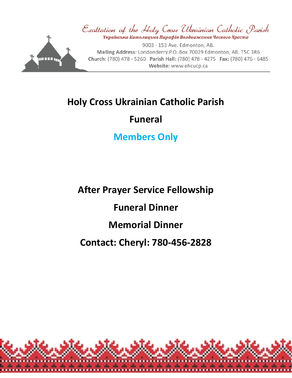

# **Holy Cross Ukrainian Catholic Parish**

# **Funeral**

# **Members Only**

**After Prayer Service Fellowship Funeral Dinner Memorial Dinner Contact: Cheryl: 780-456-2828**